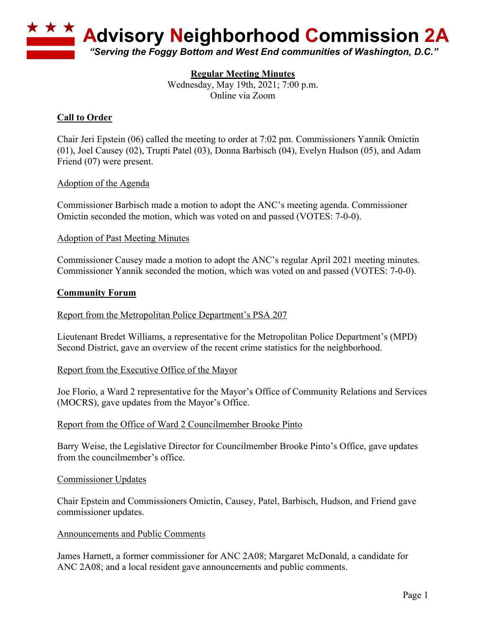

# **Regular Meeting Minutes**

Wednesday, May 19th, 2021; 7:00 p.m. Online via Zoom

# **Call to Order**

Chair Jeri Epstein (06) called the meeting to order at 7:02 pm. Commissioners Yannik Omictin (01), Joel Causey (02), Trupti Patel (03), Donna Barbisch (04), Evelyn Hudson (05), and Adam Friend (07) were present.

### Adoption of the Agenda

Commissioner Barbisch made a motion to adopt the ANC's meeting agenda. Commissioner Omictin seconded the motion, which was voted on and passed (VOTES: 7-0-0).

### Adoption of Past Meeting Minutes

Commissioner Causey made a motion to adopt the ANC's regular April 2021 meeting minutes. Commissioner Yannik seconded the motion, which was voted on and passed (VOTES: 7-0-0).

### **Community Forum**

### Report from the Metropolitan Police Department's PSA 207

Lieutenant Bredet Williams, a representative for the Metropolitan Police Department's (MPD) Second District, gave an overview of the recent crime statistics for the neighborhood.

### Report from the Executive Office of the Mayor

Joe Florio, a Ward 2 representative for the Mayor's Office of Community Relations and Services (MOCRS), gave updates from the Mayor's Office.

### Report from the Office of Ward 2 Councilmember Brooke Pinto

Barry Weise, the Legislative Director for Councilmember Brooke Pinto's Office, gave updates from the councilmember's office.

### Commissioner Updates

Chair Epstein and Commissioners Omictin, Causey, Patel, Barbisch, Hudson, and Friend gave commissioner updates.

### Announcements and Public Comments

James Harnett, a former commissioner for ANC 2A08; Margaret McDonald, a candidate for ANC 2A08; and a local resident gave announcements and public comments.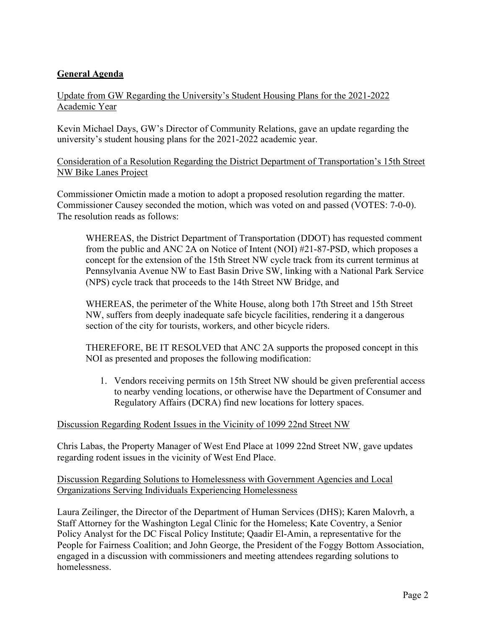# **General Agenda**

# Update from GW Regarding the University's Student Housing Plans for the 2021-2022 Academic Year

Kevin Michael Days, GW's Director of Community Relations, gave an update regarding the university's student housing plans for the 2021-2022 academic year.

Consideration of a Resolution Regarding the District Department of Transportation's 15th Street NW Bike Lanes Project

Commissioner Omictin made a motion to adopt a proposed resolution regarding the matter. Commissioner Causey seconded the motion, which was voted on and passed (VOTES: 7-0-0). The resolution reads as follows:

WHEREAS, the District Department of Transportation (DDOT) has requested comment from the public and ANC 2A on Notice of Intent (NOI) #21-87-PSD, which proposes a concept for the extension of the 15th Street NW cycle track from its current terminus at Pennsylvania Avenue NW to East Basin Drive SW, linking with a National Park Service (NPS) cycle track that proceeds to the 14th Street NW Bridge, and

WHEREAS, the perimeter of the White House, along both 17th Street and 15th Street NW, suffers from deeply inadequate safe bicycle facilities, rendering it a dangerous section of the city for tourists, workers, and other bicycle riders.

THEREFORE, BE IT RESOLVED that ANC 2A supports the proposed concept in this NOI as presented and proposes the following modification:

1. Vendors receiving permits on 15th Street NW should be given preferential access to nearby vending locations, or otherwise have the Department of Consumer and Regulatory Affairs (DCRA) find new locations for lottery spaces.

## Discussion Regarding Rodent Issues in the Vicinity of 1099 22nd Street NW

Chris Labas, the Property Manager of West End Place at 1099 22nd Street NW, gave updates regarding rodent issues in the vicinity of West End Place.

## Discussion Regarding Solutions to Homelessness with Government Agencies and Local Organizations Serving Individuals Experiencing Homelessness

Laura Zeilinger, the Director of the Department of Human Services (DHS); Karen Malovrh, a Staff Attorney for the Washington Legal Clinic for the Homeless; Kate Coventry, a Senior Policy Analyst for the DC Fiscal Policy Institute; Qaadir El-Amin, a representative for the People for Fairness Coalition; and John George, the President of the Foggy Bottom Association, engaged in a discussion with commissioners and meeting attendees regarding solutions to homelessness.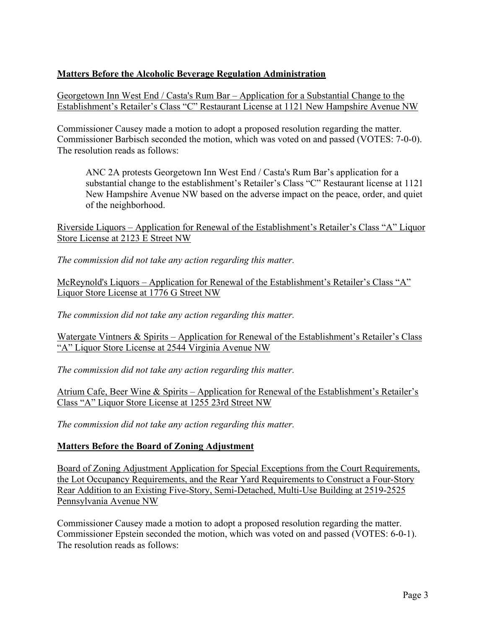# **Matters Before the Alcoholic Beverage Regulation Administration**

Georgetown Inn West End / Casta's Rum Bar – Application for a Substantial Change to the Establishment's Retailer's Class "C" Restaurant License at 1121 New Hampshire Avenue NW

Commissioner Causey made a motion to adopt a proposed resolution regarding the matter. Commissioner Barbisch seconded the motion, which was voted on and passed (VOTES: 7-0-0). The resolution reads as follows:

ANC 2A protests Georgetown Inn West End / Casta's Rum Bar's application for a substantial change to the establishment's Retailer's Class "C" Restaurant license at 1121 New Hampshire Avenue NW based on the adverse impact on the peace, order, and quiet of the neighborhood.

Riverside Liquors – Application for Renewal of the Establishment's Retailer's Class "A" Liquor Store License at 2123 E Street NW

*The commission did not take any action regarding this matter.*

McReynold's Liquors – Application for Renewal of the Establishment's Retailer's Class "A" Liquor Store License at 1776 G Street NW

*The commission did not take any action regarding this matter.*

Watergate Vintners & Spirits – Application for Renewal of the Establishment's Retailer's Class "A" Liquor Store License at 2544 Virginia Avenue NW

*The commission did not take any action regarding this matter.*

Atrium Cafe, Beer Wine & Spirits – Application for Renewal of the Establishment's Retailer's Class "A" Liquor Store License at 1255 23rd Street NW

*The commission did not take any action regarding this matter.*

# **Matters Before the Board of Zoning Adjustment**

Board of Zoning Adjustment Application for Special Exceptions from the Court Requirements, the Lot Occupancy Requirements, and the Rear Yard Requirements to Construct a Four-Story Rear Addition to an Existing Five-Story, Semi-Detached, Multi-Use Building at 2519-2525 Pennsylvania Avenue NW

Commissioner Causey made a motion to adopt a proposed resolution regarding the matter. Commissioner Epstein seconded the motion, which was voted on and passed (VOTES: 6-0-1). The resolution reads as follows: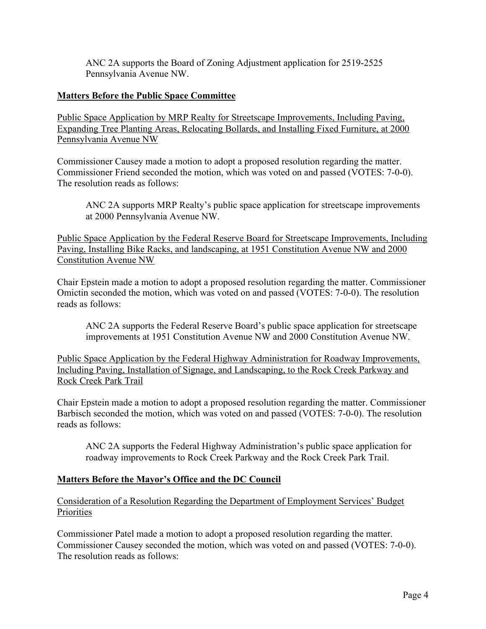ANC 2A supports the Board of Zoning Adjustment application for 2519-2525 Pennsylvania Avenue NW.

# **Matters Before the Public Space Committee**

Public Space Application by MRP Realty for Streetscape Improvements, Including Paving, Expanding Tree Planting Areas, Relocating Bollards, and Installing Fixed Furniture, at 2000 Pennsylvania Avenue NW

Commissioner Causey made a motion to adopt a proposed resolution regarding the matter. Commissioner Friend seconded the motion, which was voted on and passed (VOTES: 7-0-0). The resolution reads as follows:

ANC 2A supports MRP Realty's public space application for streetscape improvements at 2000 Pennsylvania Avenue NW.

Public Space Application by the Federal Reserve Board for Streetscape Improvements, Including Paving, Installing Bike Racks, and landscaping, at 1951 Constitution Avenue NW and 2000 Constitution Avenue NW

Chair Epstein made a motion to adopt a proposed resolution regarding the matter. Commissioner Omictin seconded the motion, which was voted on and passed (VOTES: 7-0-0). The resolution reads as follows:

ANC 2A supports the Federal Reserve Board's public space application for streetscape improvements at 1951 Constitution Avenue NW and 2000 Constitution Avenue NW.

Public Space Application by the Federal Highway Administration for Roadway Improvements, Including Paving, Installation of Signage, and Landscaping, to the Rock Creek Parkway and Rock Creek Park Trail

Chair Epstein made a motion to adopt a proposed resolution regarding the matter. Commissioner Barbisch seconded the motion, which was voted on and passed (VOTES: 7-0-0). The resolution reads as follows:

ANC 2A supports the Federal Highway Administration's public space application for roadway improvements to Rock Creek Parkway and the Rock Creek Park Trail.

## **Matters Before the Mayor's Office and the DC Council**

Consideration of a Resolution Regarding the Department of Employment Services' Budget **Priorities** 

Commissioner Patel made a motion to adopt a proposed resolution regarding the matter. Commissioner Causey seconded the motion, which was voted on and passed (VOTES: 7-0-0). The resolution reads as follows: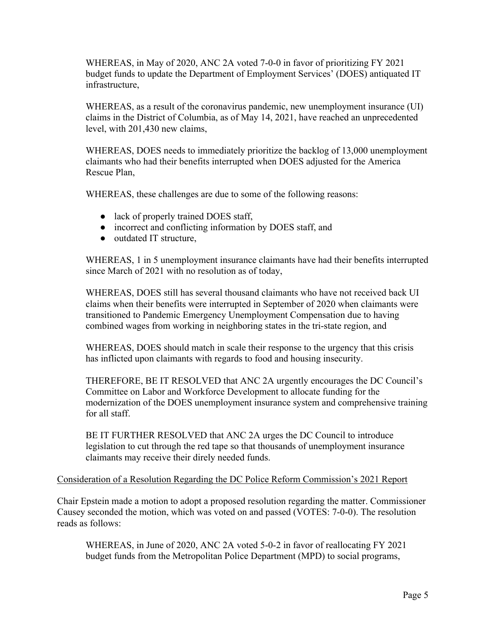WHEREAS, in May of 2020, ANC 2A voted 7-0-0 in favor of prioritizing FY 2021 budget funds to update the Department of Employment Services' (DOES) antiquated IT infrastructure,

WHEREAS, as a result of the coronavirus pandemic, new unemployment insurance (UI) claims in the District of Columbia, as of May 14, 2021, have reached an unprecedented level, with 201,430 new claims,

WHEREAS, DOES needs to immediately prioritize the backlog of 13,000 unemployment claimants who had their benefits interrupted when DOES adjusted for the America Rescue Plan,

WHEREAS, these challenges are due to some of the following reasons:

- lack of properly trained DOES staff,
- incorrect and conflicting information by DOES staff, and
- outdated IT structure,

WHEREAS, 1 in 5 unemployment insurance claimants have had their benefits interrupted since March of 2021 with no resolution as of today,

WHEREAS, DOES still has several thousand claimants who have not received back UI claims when their benefits were interrupted in September of 2020 when claimants were transitioned to Pandemic Emergency Unemployment Compensation due to having combined wages from working in neighboring states in the tri-state region, and

WHEREAS, DOES should match in scale their response to the urgency that this crisis has inflicted upon claimants with regards to food and housing insecurity.

THEREFORE, BE IT RESOLVED that ANC 2A urgently encourages the DC Council's Committee on Labor and Workforce Development to allocate funding for the modernization of the DOES unemployment insurance system and comprehensive training for all staff.

BE IT FURTHER RESOLVED that ANC 2A urges the DC Council to introduce legislation to cut through the red tape so that thousands of unemployment insurance claimants may receive their direly needed funds.

## Consideration of a Resolution Regarding the DC Police Reform Commission's 2021 Report

Chair Epstein made a motion to adopt a proposed resolution regarding the matter. Commissioner Causey seconded the motion, which was voted on and passed (VOTES: 7-0-0). The resolution reads as follows:

WHEREAS, in June of 2020, ANC 2A voted 5-0-2 in favor of reallocating FY 2021 budget funds from the Metropolitan Police Department (MPD) to social programs,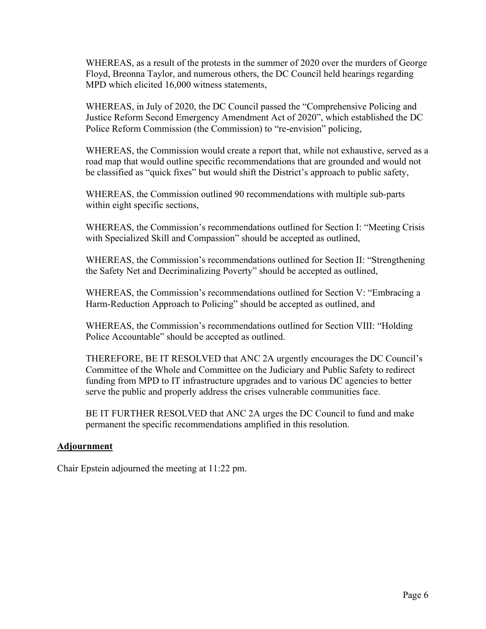WHEREAS, as a result of the protests in the summer of 2020 over the murders of George Floyd, Breonna Taylor, and numerous others, the DC Council held hearings regarding MPD which elicited 16,000 witness statements,

WHEREAS, in July of 2020, the DC Council passed the "Comprehensive Policing and Justice Reform Second Emergency Amendment Act of 2020", which established the DC Police Reform Commission (the Commission) to "re-envision" policing,

WHEREAS, the Commission would create a report that, while not exhaustive, served as a road map that would outline specific recommendations that are grounded and would not be classified as "quick fixes" but would shift the District's approach to public safety,

WHEREAS, the Commission outlined 90 recommendations with multiple sub-parts within eight specific sections,

WHEREAS, the Commission's recommendations outlined for Section I: "Meeting Crisis with Specialized Skill and Compassion" should be accepted as outlined,

WHEREAS, the Commission's recommendations outlined for Section II: "Strengthening the Safety Net and Decriminalizing Poverty" should be accepted as outlined,

WHEREAS, the Commission's recommendations outlined for Section V: "Embracing a Harm-Reduction Approach to Policing" should be accepted as outlined, and

WHEREAS, the Commission's recommendations outlined for Section VIII: "Holding Police Accountable" should be accepted as outlined.

THEREFORE, BE IT RESOLVED that ANC 2A urgently encourages the DC Council's Committee of the Whole and Committee on the Judiciary and Public Safety to redirect funding from MPD to IT infrastructure upgrades and to various DC agencies to better serve the public and properly address the crises vulnerable communities face.

BE IT FURTHER RESOLVED that ANC 2A urges the DC Council to fund and make permanent the specific recommendations amplified in this resolution.

## **Adjournment**

Chair Epstein adjourned the meeting at 11:22 pm.